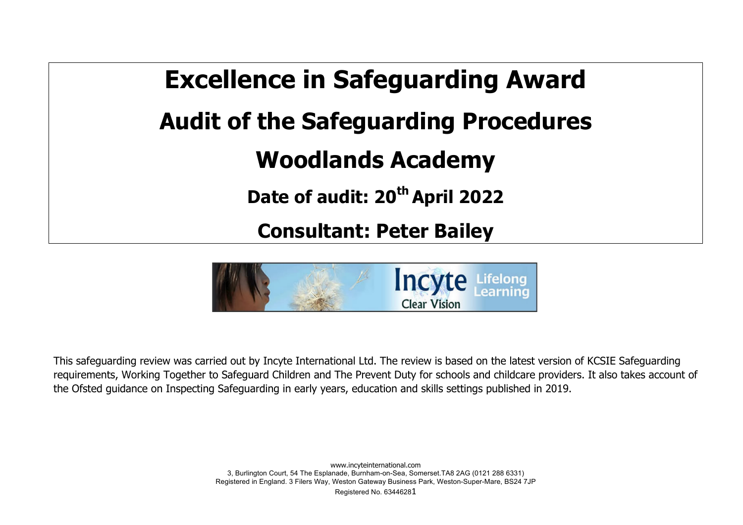



This safeguarding review was carried out by Incyte International Ltd. The review is based on the latest version of KCSIE Safeguarding requirements, Working Together to Safeguard Children and The Prevent Duty for schools and childcare providers. It also takes account of the Ofsted guidance on Inspecting Safeguarding in early years, education and skills settings published in 2019.

> www.incyteinternational.com 3, Burlington Court, 54 The Esplanade, Burnham-on-Sea, Somerset.TA8 2AG (0121 288 6331) Registered in England. 3 Filers Way, Weston Gateway Business Park, Weston-Super-Mare, BS24 7JP Registered No. 63446281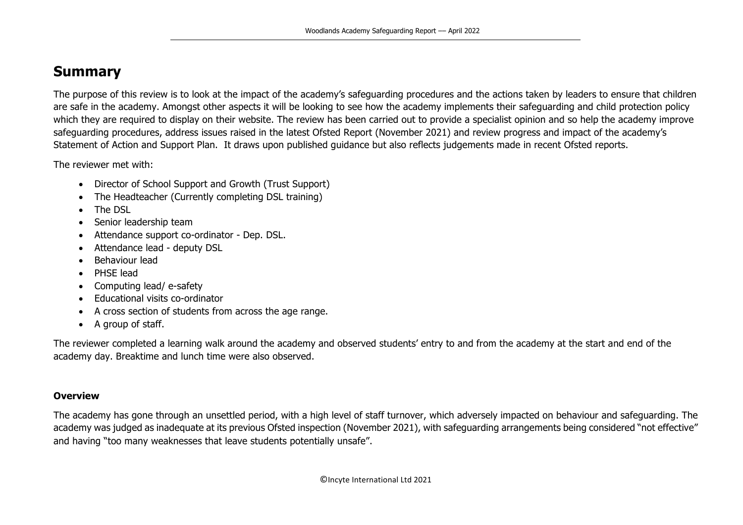# **Summary**

The purpose of this review is to look at the impact of the academy's safeguarding procedures and the actions taken by leaders to ensure that children are safe in the academy. Amongst other aspects it will be looking to see how the academy implements their safeguarding and child protection policy which they are required to display on their website. The review has been carried out to provide a specialist opinion and so help the academy improve safeguarding procedures, address issues raised in the latest Ofsted Report (November 2021) and review progress and impact of the academy's Statement of Action and Support Plan. It draws upon published guidance but also reflects judgements made in recent Ofsted reports.

The reviewer met with:

- Director of School Support and Growth (Trust Support)
- The Headteacher (Currently completing DSL training)
- The DSL
- Senior leadership team
- Attendance support co-ordinator Dep. DSL.
- Attendance lead deputy DSL
- Behaviour lead
- PHSE lead
- Computing lead/ e-safety
- Educational visits co-ordinator
- A cross section of students from across the age range.
- A group of staff.

The reviewer completed a learning walk around the academy and observed students' entry to and from the academy at the start and end of the academy day. Breaktime and lunch time were also observed.

## **Overview**

The academy has gone through an unsettled period, with a high level of staff turnover, which adversely impacted on behaviour and safeguarding. The academy was judged as inadequate at its previous Ofsted inspection (November 2021), with safeguarding arrangements being considered "not effective" and having "too many weaknesses that leave students potentially unsafe".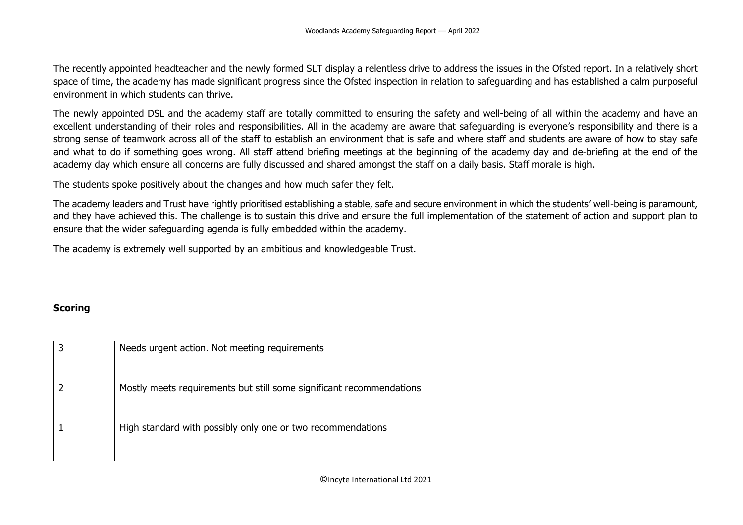The recently appointed headteacher and the newly formed SLT display a relentless drive to address the issues in the Ofsted report. In a relatively short space of time, the academy has made significant progress since the Ofsted inspection in relation to safeguarding and has established a calm purposeful environment in which students can thrive.

The newly appointed DSL and the academy staff are totally committed to ensuring the safety and well-being of all within the academy and have an excellent understanding of their roles and responsibilities. All in the academy are aware that safeguarding is everyone's responsibility and there is a strong sense of teamwork across all of the staff to establish an environment that is safe and where staff and students are aware of how to stay safe and what to do if something goes wrong. All staff attend briefing meetings at the beginning of the academy day and de-briefing at the end of the academy day which ensure all concerns are fully discussed and shared amongst the staff on a daily basis. Staff morale is high.

The students spoke positively about the changes and how much safer they felt.

The academy leaders and Trust have rightly prioritised establishing a stable, safe and secure environment in which the students' well-being is paramount, and they have achieved this. The challenge is to sustain this drive and ensure the full implementation of the statement of action and support plan to ensure that the wider safeguarding agenda is fully embedded within the academy.

The academy is extremely well supported by an ambitious and knowledgeable Trust.

## **Scoring**

| Needs urgent action. Not meeting requirements                        |
|----------------------------------------------------------------------|
| Mostly meets requirements but still some significant recommendations |
| High standard with possibly only one or two recommendations          |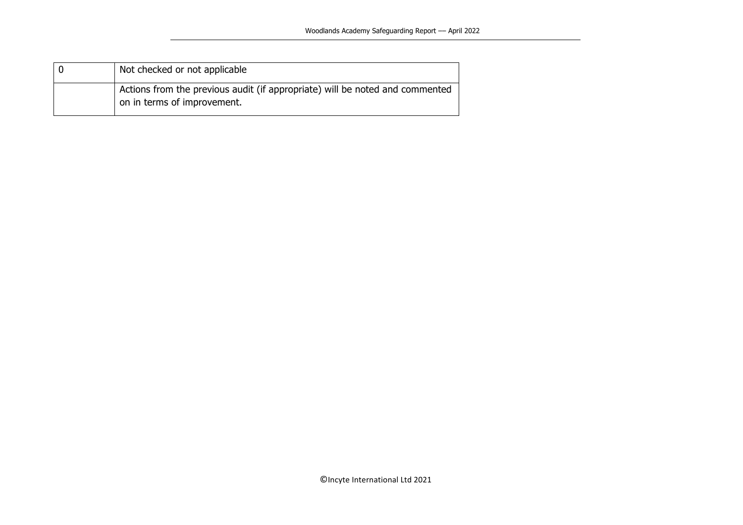| Not checked or not applicable                                                                               |
|-------------------------------------------------------------------------------------------------------------|
| Actions from the previous audit (if appropriate) will be noted and commented<br>on in terms of improvement. |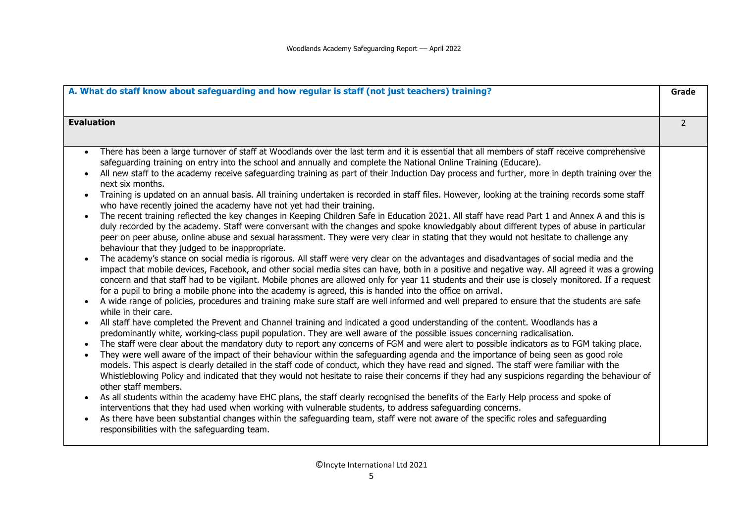| A. What do staff know about safeguarding and how regular is staff (not just teachers) training?                                                                                                                                                                                                                                                                                                                                                                                                                                                                                                                                                                                                                                                                                                                                                                                                                                                                                                                                                                                                                                                                                                                                                                                                                                                                                                                                                                                                                                                                                                                                                                                                                                                                                                                                                                                                                                                                                                                                                                                                                                                                                                                                                                                                                                                                                                                                                                                                                                                                                                                                                                                                                                                                                                                                                                                                                                                                                                                                                                                                                                                                                                                                                                 | Grade          |
|-----------------------------------------------------------------------------------------------------------------------------------------------------------------------------------------------------------------------------------------------------------------------------------------------------------------------------------------------------------------------------------------------------------------------------------------------------------------------------------------------------------------------------------------------------------------------------------------------------------------------------------------------------------------------------------------------------------------------------------------------------------------------------------------------------------------------------------------------------------------------------------------------------------------------------------------------------------------------------------------------------------------------------------------------------------------------------------------------------------------------------------------------------------------------------------------------------------------------------------------------------------------------------------------------------------------------------------------------------------------------------------------------------------------------------------------------------------------------------------------------------------------------------------------------------------------------------------------------------------------------------------------------------------------------------------------------------------------------------------------------------------------------------------------------------------------------------------------------------------------------------------------------------------------------------------------------------------------------------------------------------------------------------------------------------------------------------------------------------------------------------------------------------------------------------------------------------------------------------------------------------------------------------------------------------------------------------------------------------------------------------------------------------------------------------------------------------------------------------------------------------------------------------------------------------------------------------------------------------------------------------------------------------------------------------------------------------------------------------------------------------------------------------------------------------------------------------------------------------------------------------------------------------------------------------------------------------------------------------------------------------------------------------------------------------------------------------------------------------------------------------------------------------------------------------------------------------------------------------------------------------------------|----------------|
| <b>Evaluation</b>                                                                                                                                                                                                                                                                                                                                                                                                                                                                                                                                                                                                                                                                                                                                                                                                                                                                                                                                                                                                                                                                                                                                                                                                                                                                                                                                                                                                                                                                                                                                                                                                                                                                                                                                                                                                                                                                                                                                                                                                                                                                                                                                                                                                                                                                                                                                                                                                                                                                                                                                                                                                                                                                                                                                                                                                                                                                                                                                                                                                                                                                                                                                                                                                                                               | $\overline{2}$ |
| There has been a large turnover of staff at Woodlands over the last term and it is essential that all members of staff receive comprehensive<br>$\bullet$<br>safeguarding training on entry into the school and annually and complete the National Online Training (Educare).<br>All new staff to the academy receive safeguarding training as part of their Induction Day process and further, more in depth training over the<br>next six months.<br>Training is updated on an annual basis. All training undertaken is recorded in staff files. However, looking at the training records some staff<br>who have recently joined the academy have not yet had their training.<br>The recent training reflected the key changes in Keeping Children Safe in Education 2021. All staff have read Part 1 and Annex A and this is<br>$\bullet$<br>duly recorded by the academy. Staff were conversant with the changes and spoke knowledgably about different types of abuse in particular<br>peer on peer abuse, online abuse and sexual harassment. They were very clear in stating that they would not hesitate to challenge any<br>behaviour that they judged to be inappropriate.<br>The academy's stance on social media is rigorous. All staff were very clear on the advantages and disadvantages of social media and the<br>impact that mobile devices, Facebook, and other social media sites can have, both in a positive and negative way. All agreed it was a growing<br>concern and that staff had to be vigilant. Mobile phones are allowed only for year 11 students and their use is closely monitored. If a request<br>for a pupil to bring a mobile phone into the academy is agreed, this is handed into the office on arrival.<br>A wide range of policies, procedures and training make sure staff are well informed and well prepared to ensure that the students are safe<br>while in their care.<br>All staff have completed the Prevent and Channel training and indicated a good understanding of the content. Woodlands has a<br>predominantly white, working-class pupil population. They are well aware of the possible issues concerning radicalisation.<br>The staff were clear about the mandatory duty to report any concerns of FGM and were alert to possible indicators as to FGM taking place.<br>$\bullet$<br>They were well aware of the impact of their behaviour within the safeguarding agenda and the importance of being seen as good role<br>$\bullet$<br>models. This aspect is clearly detailed in the staff code of conduct, which they have read and signed. The staff were familiar with the<br>Whistleblowing Policy and indicated that they would not hesitate to raise their concerns if they had any suspicions regarding the behaviour of<br>other staff members.<br>As all students within the academy have EHC plans, the staff clearly recognised the benefits of the Early Help process and spoke of<br>interventions that they had used when working with vulnerable students, to address safeguarding concerns.<br>As there have been substantial changes within the safeguarding team, staff were not aware of the specific roles and safeguarding<br>responsibilities with the safeguarding team. |                |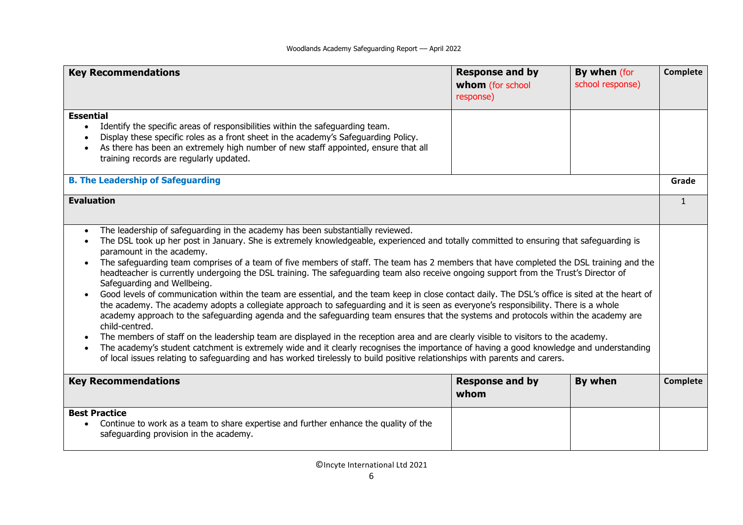| <b>Key Recommendations</b>                                                                                                                                                                                                                                                                                                                                                                                                                                                                                                                                                                                                                                                                                                                                                                                                                                                                                                                                                                                                                                                                                                                                                                                                                                                                                                                                                                                                                                              | <b>Response and by</b><br>whom (for school<br>response) | By when (for<br>school response) | Complete     |
|-------------------------------------------------------------------------------------------------------------------------------------------------------------------------------------------------------------------------------------------------------------------------------------------------------------------------------------------------------------------------------------------------------------------------------------------------------------------------------------------------------------------------------------------------------------------------------------------------------------------------------------------------------------------------------------------------------------------------------------------------------------------------------------------------------------------------------------------------------------------------------------------------------------------------------------------------------------------------------------------------------------------------------------------------------------------------------------------------------------------------------------------------------------------------------------------------------------------------------------------------------------------------------------------------------------------------------------------------------------------------------------------------------------------------------------------------------------------------|---------------------------------------------------------|----------------------------------|--------------|
| <b>Essential</b><br>Identify the specific areas of responsibilities within the safeguarding team.<br>Display these specific roles as a front sheet in the academy's Safeguarding Policy.<br>As there has been an extremely high number of new staff appointed, ensure that all<br>$\bullet$<br>training records are regularly updated.                                                                                                                                                                                                                                                                                                                                                                                                                                                                                                                                                                                                                                                                                                                                                                                                                                                                                                                                                                                                                                                                                                                                  |                                                         |                                  |              |
| <b>B. The Leadership of Safeguarding</b>                                                                                                                                                                                                                                                                                                                                                                                                                                                                                                                                                                                                                                                                                                                                                                                                                                                                                                                                                                                                                                                                                                                                                                                                                                                                                                                                                                                                                                |                                                         |                                  | Grade        |
| <b>Evaluation</b>                                                                                                                                                                                                                                                                                                                                                                                                                                                                                                                                                                                                                                                                                                                                                                                                                                                                                                                                                                                                                                                                                                                                                                                                                                                                                                                                                                                                                                                       |                                                         |                                  | $\mathbf{1}$ |
| The leadership of safeguarding in the academy has been substantially reviewed.<br>$\bullet$<br>The DSL took up her post in January. She is extremely knowledgeable, experienced and totally committed to ensuring that safeguarding is<br>paramount in the academy.<br>The safeguarding team comprises of a team of five members of staff. The team has 2 members that have completed the DSL training and the<br>headteacher is currently undergoing the DSL training. The safeguarding team also receive ongoing support from the Trust's Director of<br>Safeguarding and Wellbeing.<br>Good levels of communication within the team are essential, and the team keep in close contact daily. The DSL's office is sited at the heart of<br>the academy. The academy adopts a collegiate approach to safeguarding and it is seen as everyone's responsibility. There is a whole<br>academy approach to the safeguarding agenda and the safeguarding team ensures that the systems and protocols within the academy are<br>child-centred.<br>The members of staff on the leadership team are displayed in the reception area and are clearly visible to visitors to the academy.<br>The academy's student catchment is extremely wide and it clearly recognises the importance of having a good knowledge and understanding<br>$\bullet$<br>of local issues relating to safeguarding and has worked tirelessly to build positive relationships with parents and carers. |                                                         |                                  |              |
| <b>Key Recommendations</b>                                                                                                                                                                                                                                                                                                                                                                                                                                                                                                                                                                                                                                                                                                                                                                                                                                                                                                                                                                                                                                                                                                                                                                                                                                                                                                                                                                                                                                              | <b>Response and by</b><br>whom                          | By when                          | Complete     |
| <b>Best Practice</b><br>Continue to work as a team to share expertise and further enhance the quality of the<br>safeguarding provision in the academy.                                                                                                                                                                                                                                                                                                                                                                                                                                                                                                                                                                                                                                                                                                                                                                                                                                                                                                                                                                                                                                                                                                                                                                                                                                                                                                                  |                                                         |                                  |              |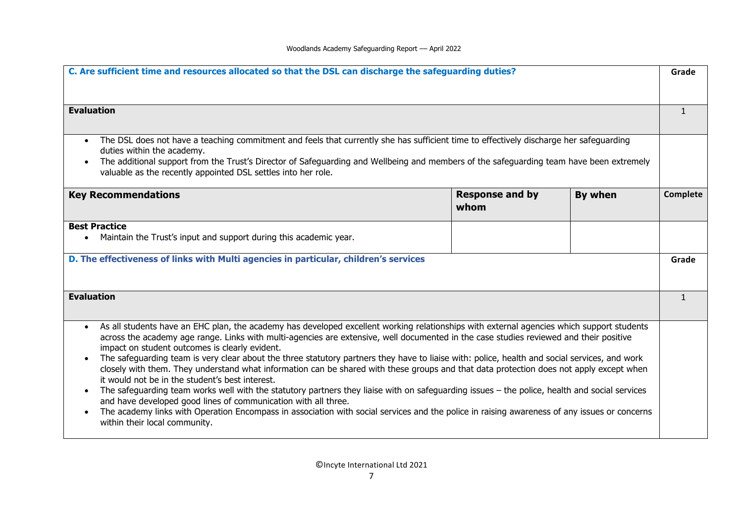| C. Are sufficient time and resources allocated so that the DSL can discharge the safeguarding duties?                                                                                                                                                                                                                                                                                                                                                                                                                                                                                                                                                                                                                                                                                                                                                                                                                                                                                                                                                                                                                           |                                |         | Grade           |
|---------------------------------------------------------------------------------------------------------------------------------------------------------------------------------------------------------------------------------------------------------------------------------------------------------------------------------------------------------------------------------------------------------------------------------------------------------------------------------------------------------------------------------------------------------------------------------------------------------------------------------------------------------------------------------------------------------------------------------------------------------------------------------------------------------------------------------------------------------------------------------------------------------------------------------------------------------------------------------------------------------------------------------------------------------------------------------------------------------------------------------|--------------------------------|---------|-----------------|
| <b>Evaluation</b>                                                                                                                                                                                                                                                                                                                                                                                                                                                                                                                                                                                                                                                                                                                                                                                                                                                                                                                                                                                                                                                                                                               |                                |         | $\mathbf{1}$    |
| The DSL does not have a teaching commitment and feels that currently she has sufficient time to effectively discharge her safeguarding<br>$\bullet$<br>duties within the academy.<br>The additional support from the Trust's Director of Safeguarding and Wellbeing and members of the safeguarding team have been extremely<br>$\bullet$<br>valuable as the recently appointed DSL settles into her role.                                                                                                                                                                                                                                                                                                                                                                                                                                                                                                                                                                                                                                                                                                                      |                                |         |                 |
| <b>Key Recommendations</b>                                                                                                                                                                                                                                                                                                                                                                                                                                                                                                                                                                                                                                                                                                                                                                                                                                                                                                                                                                                                                                                                                                      | <b>Response and by</b><br>whom | By when | <b>Complete</b> |
| <b>Best Practice</b><br>Maintain the Trust's input and support during this academic year.                                                                                                                                                                                                                                                                                                                                                                                                                                                                                                                                                                                                                                                                                                                                                                                                                                                                                                                                                                                                                                       |                                |         |                 |
| D. The effectiveness of links with Multi agencies in particular, children's services                                                                                                                                                                                                                                                                                                                                                                                                                                                                                                                                                                                                                                                                                                                                                                                                                                                                                                                                                                                                                                            |                                |         | Grade           |
| <b>Evaluation</b>                                                                                                                                                                                                                                                                                                                                                                                                                                                                                                                                                                                                                                                                                                                                                                                                                                                                                                                                                                                                                                                                                                               |                                |         | $\mathbf{1}$    |
| As all students have an EHC plan, the academy has developed excellent working relationships with external agencies which support students<br>$\bullet$<br>across the academy age range. Links with multi-agencies are extensive, well documented in the case studies reviewed and their positive<br>impact on student outcomes is clearly evident.<br>The safeguarding team is very clear about the three statutory partners they have to liaise with: police, health and social services, and work<br>closely with them. They understand what information can be shared with these groups and that data protection does not apply except when<br>it would not be in the student's best interest.<br>The safeguarding team works well with the statutory partners they liaise with on safeguarding issues - the police, health and social services<br>$\bullet$<br>and have developed good lines of communication with all three.<br>The academy links with Operation Encompass in association with social services and the police in raising awareness of any issues or concerns<br>$\bullet$<br>within their local community. |                                |         |                 |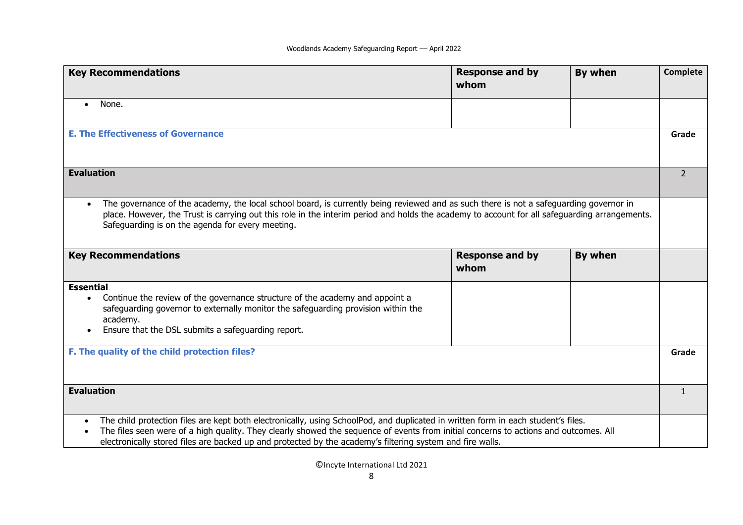| <b>Key Recommendations</b>                                                                                                                                                                                                                                                                                                                                                             | <b>Response and by</b><br>whom | By when | <b>Complete</b> |
|----------------------------------------------------------------------------------------------------------------------------------------------------------------------------------------------------------------------------------------------------------------------------------------------------------------------------------------------------------------------------------------|--------------------------------|---------|-----------------|
| None.<br>$\bullet$                                                                                                                                                                                                                                                                                                                                                                     |                                |         |                 |
| <b>E. The Effectiveness of Governance</b>                                                                                                                                                                                                                                                                                                                                              |                                |         | Grade           |
| <b>Evaluation</b>                                                                                                                                                                                                                                                                                                                                                                      |                                |         | $\overline{2}$  |
| The governance of the academy, the local school board, is currently being reviewed and as such there is not a safeguarding governor in<br>$\bullet$<br>place. However, the Trust is carrying out this role in the interim period and holds the academy to account for all safeguarding arrangements.<br>Safeguarding is on the agenda for every meeting.                               |                                |         |                 |
| <b>Key Recommendations</b>                                                                                                                                                                                                                                                                                                                                                             | <b>Response and by</b><br>whom | By when |                 |
| <b>Essential</b><br>Continue the review of the governance structure of the academy and appoint a<br>$\bullet$                                                                                                                                                                                                                                                                          |                                |         |                 |
| safeguarding governor to externally monitor the safeguarding provision within the<br>academy.                                                                                                                                                                                                                                                                                          |                                |         |                 |
| Ensure that the DSL submits a safeguarding report.                                                                                                                                                                                                                                                                                                                                     |                                |         |                 |
| F. The quality of the child protection files?                                                                                                                                                                                                                                                                                                                                          |                                |         | Grade           |
| <b>Evaluation</b>                                                                                                                                                                                                                                                                                                                                                                      |                                |         | $\mathbf{1}$    |
| The child protection files are kept both electronically, using SchoolPod, and duplicated in written form in each student's files.<br>The files seen were of a high quality. They clearly showed the sequence of events from initial concerns to actions and outcomes. All<br>electronically stored files are backed up and protected by the academy's filtering system and fire walls. |                                |         |                 |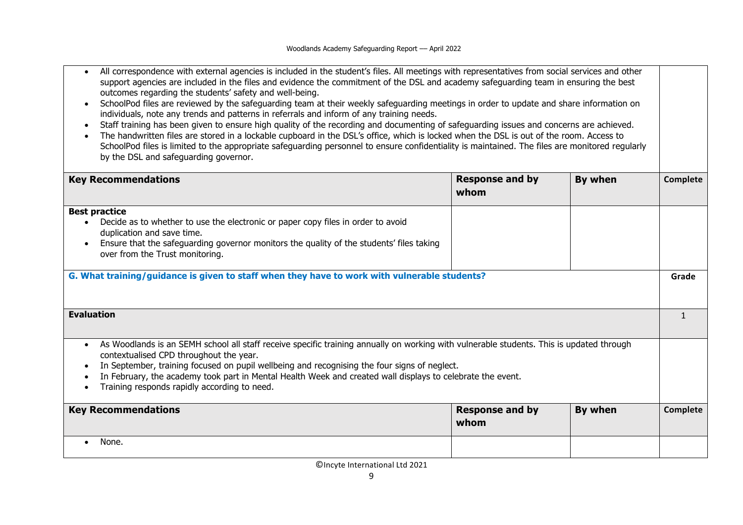| outcomes regarding the students' safety and well-being.<br>individuals, note any trends and patterns in referrals and inform of any training needs.                                                                                                                                                                                                                                                                                                            | All correspondence with external agencies is included in the student's files. All meetings with representatives from social services and other<br>support agencies are included in the files and evidence the commitment of the DSL and academy safeguarding team in ensuring the best<br>SchoolPod files are reviewed by the safeguarding team at their weekly safeguarding meetings in order to update and share information on<br>Staff training has been given to ensure high quality of the recording and documenting of safeguarding issues and concerns are achieved. |                |              |  |
|----------------------------------------------------------------------------------------------------------------------------------------------------------------------------------------------------------------------------------------------------------------------------------------------------------------------------------------------------------------------------------------------------------------------------------------------------------------|------------------------------------------------------------------------------------------------------------------------------------------------------------------------------------------------------------------------------------------------------------------------------------------------------------------------------------------------------------------------------------------------------------------------------------------------------------------------------------------------------------------------------------------------------------------------------|----------------|--------------|--|
| by the DSL and safeguarding governor.                                                                                                                                                                                                                                                                                                                                                                                                                          | The handwritten files are stored in a lockable cupboard in the DSL's office, which is locked when the DSL is out of the room. Access to<br>SchoolPod files is limited to the appropriate safeguarding personnel to ensure confidentiality is maintained. The files are monitored regularly                                                                                                                                                                                                                                                                                   |                |              |  |
| <b>Key Recommendations</b>                                                                                                                                                                                                                                                                                                                                                                                                                                     | <b>Response and by</b><br>whom                                                                                                                                                                                                                                                                                                                                                                                                                                                                                                                                               | <b>By when</b> | Complete     |  |
| <b>Best practice</b><br>Decide as to whether to use the electronic or paper copy files in order to avoid<br>duplication and save time.<br>Ensure that the safeguarding governor monitors the quality of the students' files taking<br>over from the Trust monitoring.                                                                                                                                                                                          |                                                                                                                                                                                                                                                                                                                                                                                                                                                                                                                                                                              |                |              |  |
| G. What training/guidance is given to staff when they have to work with vulnerable students?                                                                                                                                                                                                                                                                                                                                                                   |                                                                                                                                                                                                                                                                                                                                                                                                                                                                                                                                                                              |                | Grade        |  |
| <b>Evaluation</b>                                                                                                                                                                                                                                                                                                                                                                                                                                              |                                                                                                                                                                                                                                                                                                                                                                                                                                                                                                                                                                              |                | $\mathbf{1}$ |  |
| As Woodlands is an SEMH school all staff receive specific training annually on working with vulnerable students. This is updated through<br>$\bullet$<br>contextualised CPD throughout the year.<br>In September, training focused on pupil wellbeing and recognising the four signs of neglect.<br>In February, the academy took part in Mental Health Week and created wall displays to celebrate the event.<br>Training responds rapidly according to need. |                                                                                                                                                                                                                                                                                                                                                                                                                                                                                                                                                                              |                |              |  |
| <b>Response and by</b><br>By when<br><b>Key Recommendations</b><br>whom                                                                                                                                                                                                                                                                                                                                                                                        |                                                                                                                                                                                                                                                                                                                                                                                                                                                                                                                                                                              |                | Complete     |  |
| None.<br>$\bullet$                                                                                                                                                                                                                                                                                                                                                                                                                                             |                                                                                                                                                                                                                                                                                                                                                                                                                                                                                                                                                                              |                |              |  |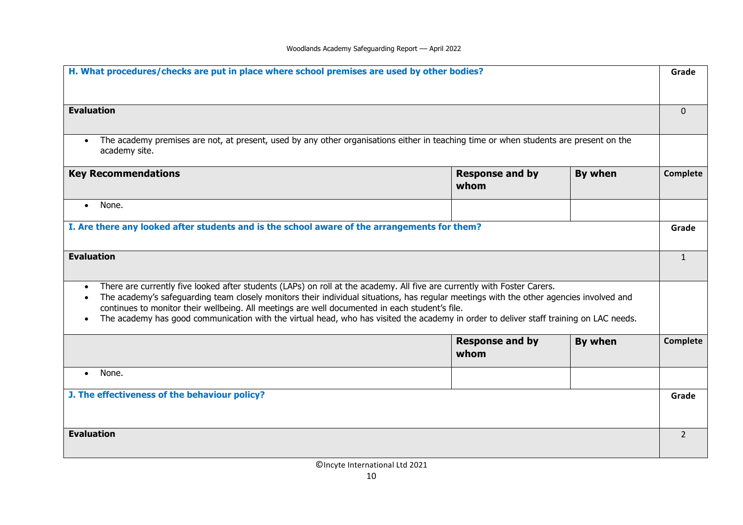| H. What procedures/checks are put in place where school premises are used by other bodies?                                                                                                                                                                                                                                                                                                                                                                                                                                   |                                |         | Grade          |
|------------------------------------------------------------------------------------------------------------------------------------------------------------------------------------------------------------------------------------------------------------------------------------------------------------------------------------------------------------------------------------------------------------------------------------------------------------------------------------------------------------------------------|--------------------------------|---------|----------------|
| <b>Evaluation</b>                                                                                                                                                                                                                                                                                                                                                                                                                                                                                                            |                                |         | $\Omega$       |
| The academy premises are not, at present, used by any other organisations either in teaching time or when students are present on the<br>$\bullet$<br>academy site.                                                                                                                                                                                                                                                                                                                                                          |                                |         |                |
| <b>Key Recommendations</b>                                                                                                                                                                                                                                                                                                                                                                                                                                                                                                   | <b>Response and by</b><br>whom | By when | Complete       |
| None.<br>$\bullet$                                                                                                                                                                                                                                                                                                                                                                                                                                                                                                           |                                |         |                |
| I. Are there any looked after students and is the school aware of the arrangements for them?                                                                                                                                                                                                                                                                                                                                                                                                                                 |                                |         | Grade          |
| <b>Evaluation</b>                                                                                                                                                                                                                                                                                                                                                                                                                                                                                                            |                                |         | $\mathbf{1}$   |
| There are currently five looked after students (LAPs) on roll at the academy. All five are currently with Foster Carers.<br>$\bullet$<br>The academy's safeguarding team closely monitors their individual situations, has regular meetings with the other agencies involved and<br>continues to monitor their wellbeing. All meetings are well documented in each student's file.<br>The academy has good communication with the virtual head, who has visited the academy in order to deliver staff training on LAC needs. |                                |         |                |
|                                                                                                                                                                                                                                                                                                                                                                                                                                                                                                                              | <b>Response and by</b><br>whom | By when | Complete       |
| None.<br>$\bullet$                                                                                                                                                                                                                                                                                                                                                                                                                                                                                                           |                                |         |                |
| J. The effectiveness of the behaviour policy?                                                                                                                                                                                                                                                                                                                                                                                                                                                                                |                                |         | Grade          |
| <b>Evaluation</b>                                                                                                                                                                                                                                                                                                                                                                                                                                                                                                            |                                |         | $\overline{2}$ |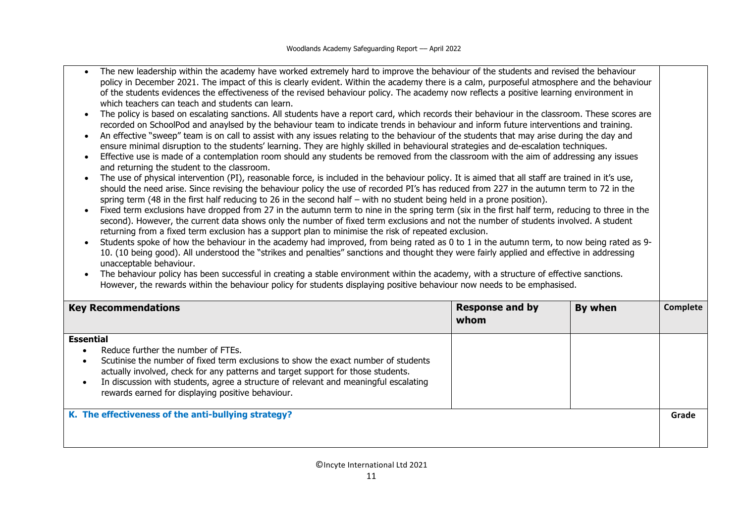- The new leadership within the academy have worked extremely hard to improve the behaviour of the students and revised the behaviour policy in December 2021. The impact of this is clearly evident. Within the academy there is a calm, purposeful atmosphere and the behaviour of the students evidences the effectiveness of the revised behaviour policy. The academy now reflects a positive learning environment in which teachers can teach and students can learn.
- The policy is based on escalating sanctions. All students have a report card, which records their behaviour in the classroom. These scores are recorded on SchoolPod and anaylsed by the behaviour team to indicate trends in behaviour and inform future interventions and training.
- An effective "sweep" team is on call to assist with any issues relating to the behaviour of the students that may arise during the day and ensure minimal disruption to the students' learning. They are highly skilled in behavioural strategies and de-escalation techniques.
- Effective use is made of a contemplation room should any students be removed from the classroom with the aim of addressing any issues and returning the student to the classroom.
- The use of physical intervention (PI), reasonable force, is included in the behaviour policy. It is aimed that all staff are trained in it's use, should the need arise. Since revising the behaviour policy the use of recorded PI's has reduced from 227 in the autumn term to 72 in the spring term (48 in the first half reducing to 26 in the second half – with no student being held in a prone position).
- Fixed term exclusions have dropped from 27 in the autumn term to nine in the spring term (six in the first half term, reducing to three in the second). However, the current data shows only the number of fixed term exclusions and not the number of students involved. A student returning from a fixed term exclusion has a support plan to minimise the risk of repeated exclusion.
- Students spoke of how the behaviour in the academy had improved, from being rated as 0 to 1 in the autumn term, to now being rated as 9- 10. (10 being good). All understood the "strikes and penalties" sanctions and thought they were fairly applied and effective in addressing unacceptable behaviour.
- The behaviour policy has been successful in creating a stable environment within the academy, with a structure of effective sanctions. However, the rewards within the behaviour policy for students displaying positive behaviour now needs to be emphasised.

| <b>Key Recommendations</b>                                                                                                                                                                                                                                                                                                                                                    | <b>Response and by</b><br>whom | By when | Complete |
|-------------------------------------------------------------------------------------------------------------------------------------------------------------------------------------------------------------------------------------------------------------------------------------------------------------------------------------------------------------------------------|--------------------------------|---------|----------|
| <b>Essential</b><br>Reduce further the number of FTEs.<br>Scutinise the number of fixed term exclusions to show the exact number of students<br>actually involved, check for any patterns and target support for those students.<br>In discussion with students, agree a structure of relevant and meaningful escalating<br>rewards earned for displaying positive behaviour. |                                |         |          |
| K. The effectiveness of the anti-bullying strategy?                                                                                                                                                                                                                                                                                                                           |                                |         | Grade    |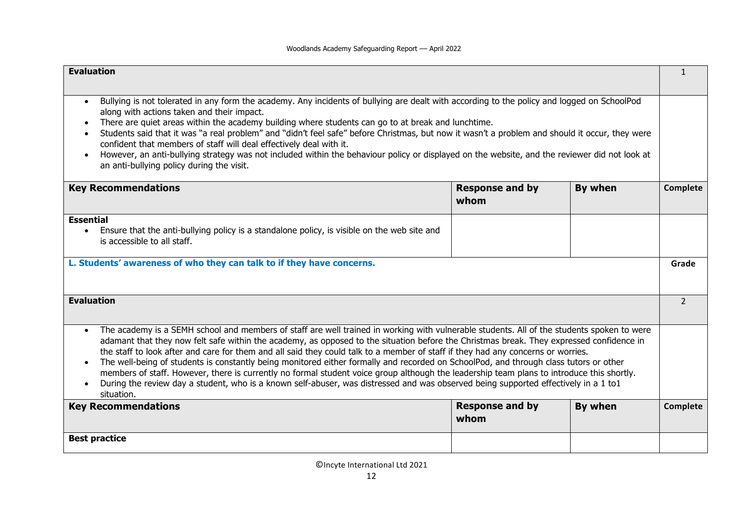| <b>Evaluation</b>                                                                                                                                                                                                                                                                                                                                                                                                                                                                                                                                                                                                                                                                                                                                                                                                                                                                               |                                |         | $\mathbf{1}$   |
|-------------------------------------------------------------------------------------------------------------------------------------------------------------------------------------------------------------------------------------------------------------------------------------------------------------------------------------------------------------------------------------------------------------------------------------------------------------------------------------------------------------------------------------------------------------------------------------------------------------------------------------------------------------------------------------------------------------------------------------------------------------------------------------------------------------------------------------------------------------------------------------------------|--------------------------------|---------|----------------|
| Bullying is not tolerated in any form the academy. Any incidents of bullying are dealt with according to the policy and logged on SchoolPod<br>$\bullet$<br>along with actions taken and their impact.<br>There are quiet areas within the academy building where students can go to at break and lunchtime.<br>Students said that it was "a real problem" and "didn't feel safe" before Christmas, but now it wasn't a problem and should it occur, they were<br>confident that members of staff will deal effectively deal with it.<br>However, an anti-bullying strategy was not included within the behaviour policy or displayed on the website, and the reviewer did not look at<br>$\bullet$<br>an anti-bullying policy during the visit.                                                                                                                                                |                                |         |                |
| <b>Key Recommendations</b>                                                                                                                                                                                                                                                                                                                                                                                                                                                                                                                                                                                                                                                                                                                                                                                                                                                                      | <b>Response and by</b><br>whom | By when | Complete       |
| <b>Essential</b><br>Ensure that the anti-bullying policy is a standalone policy, is visible on the web site and<br>is accessible to all staff.                                                                                                                                                                                                                                                                                                                                                                                                                                                                                                                                                                                                                                                                                                                                                  |                                |         |                |
| L. Students' awareness of who they can talk to if they have concerns.                                                                                                                                                                                                                                                                                                                                                                                                                                                                                                                                                                                                                                                                                                                                                                                                                           |                                |         | Grade          |
| <b>Evaluation</b>                                                                                                                                                                                                                                                                                                                                                                                                                                                                                                                                                                                                                                                                                                                                                                                                                                                                               |                                |         | $\overline{2}$ |
| The academy is a SEMH school and members of staff are well trained in working with vulnerable students. All of the students spoken to were<br>$\bullet$<br>adamant that they now felt safe within the academy, as opposed to the situation before the Christmas break. They expressed confidence in<br>the staff to look after and care for them and all said they could talk to a member of staff if they had any concerns or worries.<br>The well-being of students is constantly being monitored either formally and recorded on SchoolPod, and through class tutors or other<br>members of staff. However, there is currently no formal student voice group although the leadership team plans to introduce this shortly.<br>During the review day a student, who is a known self-abuser, was distressed and was observed being supported effectively in a 1 to1<br>$\bullet$<br>situation. |                                |         |                |
| <b>Key Recommendations</b>                                                                                                                                                                                                                                                                                                                                                                                                                                                                                                                                                                                                                                                                                                                                                                                                                                                                      | <b>Response and by</b><br>whom | By when | Complete       |
| <b>Best practice</b>                                                                                                                                                                                                                                                                                                                                                                                                                                                                                                                                                                                                                                                                                                                                                                                                                                                                            |                                |         |                |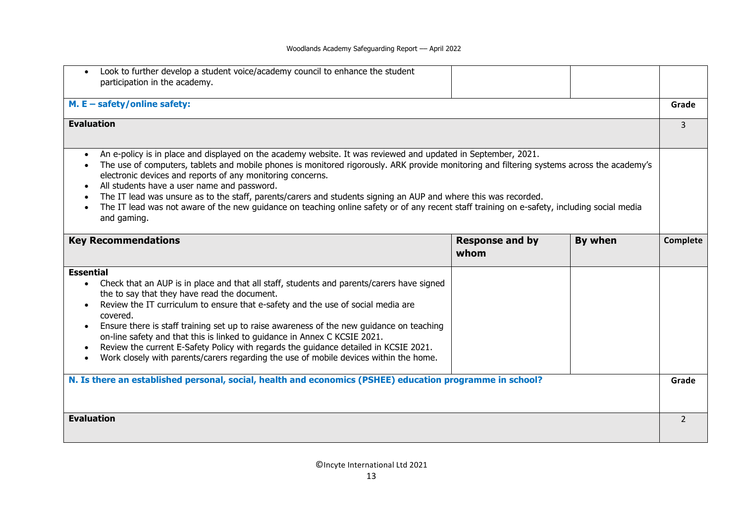#### Woodlands Academy Safeguarding Report –– April 2022

| Look to further develop a student voice/academy council to enhance the student<br>participation in the academy.                                                                                                                                                                                                                                                                                                                                                                                                                                                                                                                                                                     |                                |         |                |
|-------------------------------------------------------------------------------------------------------------------------------------------------------------------------------------------------------------------------------------------------------------------------------------------------------------------------------------------------------------------------------------------------------------------------------------------------------------------------------------------------------------------------------------------------------------------------------------------------------------------------------------------------------------------------------------|--------------------------------|---------|----------------|
| M. $E - \text{safety/online safety:}$                                                                                                                                                                                                                                                                                                                                                                                                                                                                                                                                                                                                                                               |                                |         | Grade          |
| <b>Evaluation</b>                                                                                                                                                                                                                                                                                                                                                                                                                                                                                                                                                                                                                                                                   |                                |         | 3              |
| An e-policy is in place and displayed on the academy website. It was reviewed and updated in September, 2021.<br>$\bullet$<br>The use of computers, tablets and mobile phones is monitored rigorously. ARK provide monitoring and filtering systems across the academy's<br>electronic devices and reports of any monitoring concerns.<br>All students have a user name and password.<br>The IT lead was unsure as to the staff, parents/carers and students signing an AUP and where this was recorded.<br>The IT lead was not aware of the new guidance on teaching online safety or of any recent staff training on e-safety, including social media<br>$\bullet$<br>and gaming. |                                |         |                |
| <b>Key Recommendations</b>                                                                                                                                                                                                                                                                                                                                                                                                                                                                                                                                                                                                                                                          | <b>Response and by</b><br>whom | By when | Complete       |
| <b>Essential</b>                                                                                                                                                                                                                                                                                                                                                                                                                                                                                                                                                                                                                                                                    |                                |         |                |
| Check that an AUP is in place and that all staff, students and parents/carers have signed<br>$\bullet$<br>the to say that they have read the document.<br>Review the IT curriculum to ensure that e-safety and the use of social media are<br>$\bullet$<br>covered.<br>Ensure there is staff training set up to raise awareness of the new guidance on teaching<br>$\bullet$<br>on-line safety and that this is linked to guidance in Annex C KCSIE 2021.<br>Review the current E-Safety Policy with regards the guidance detailed in KCSIE 2021.<br>Work closely with parents/carers regarding the use of mobile devices within the home.                                          |                                |         |                |
| N. Is there an established personal, social, health and economics (PSHEE) education programme in school?                                                                                                                                                                                                                                                                                                                                                                                                                                                                                                                                                                            |                                |         | Grade          |
| <b>Evaluation</b>                                                                                                                                                                                                                                                                                                                                                                                                                                                                                                                                                                                                                                                                   |                                |         | $\overline{2}$ |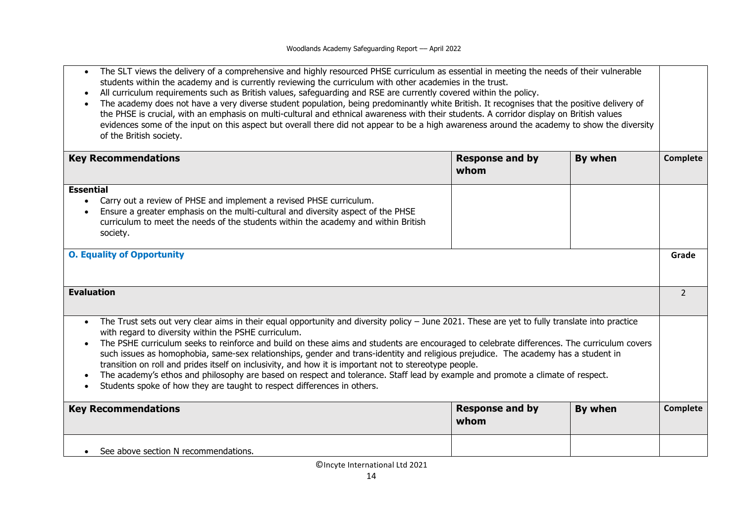| The SLT views the delivery of a comprehensive and highly resourced PHSE curriculum as essential in meeting the needs of their vulnerable |  |
|------------------------------------------------------------------------------------------------------------------------------------------|--|
| students within the academy and is currently reviewing the curriculum with other academies in the trust.                                 |  |

- All curriculum requirements such as British values, safeguarding and RSE are currently covered within the policy.
- The academy does not have a very diverse student population, being predominantly white British. It recognises that the positive delivery of the PHSE is crucial, with an emphasis on multi-cultural and ethnical awareness with their students. A corridor display on British values evidences some of the input on this aspect but overall there did not appear to be a high awareness around the academy to show the diversity of the British society.

| <b>Key Recommendations</b>                                                                                                                                                                                                                                                                                                                                                                                                                                                                                                                                                                                                                                                                                                                                                                                        | <b>Response and by</b><br>whom | By when | Complete      |
|-------------------------------------------------------------------------------------------------------------------------------------------------------------------------------------------------------------------------------------------------------------------------------------------------------------------------------------------------------------------------------------------------------------------------------------------------------------------------------------------------------------------------------------------------------------------------------------------------------------------------------------------------------------------------------------------------------------------------------------------------------------------------------------------------------------------|--------------------------------|---------|---------------|
| <b>Essential</b><br>Carry out a review of PHSE and implement a revised PHSE curriculum.<br>Ensure a greater emphasis on the multi-cultural and diversity aspect of the PHSE<br>curriculum to meet the needs of the students within the academy and within British<br>society.                                                                                                                                                                                                                                                                                                                                                                                                                                                                                                                                     |                                |         |               |
| <b>O. Equality of Opportunity</b>                                                                                                                                                                                                                                                                                                                                                                                                                                                                                                                                                                                                                                                                                                                                                                                 |                                |         | Grade         |
| <b>Evaluation</b>                                                                                                                                                                                                                                                                                                                                                                                                                                                                                                                                                                                                                                                                                                                                                                                                 |                                |         | $\mathcal{L}$ |
| The Trust sets out very clear aims in their equal opportunity and diversity policy - June 2021. These are yet to fully translate into practice<br>with regard to diversity within the PSHE curriculum.<br>The PSHE curriculum seeks to reinforce and build on these aims and students are encouraged to celebrate differences. The curriculum covers<br>such issues as homophobia, same-sex relationships, gender and trans-identity and religious prejudice. The academy has a student in<br>transition on roll and prides itself on inclusivity, and how it is important not to stereotype people.<br>The academy's ethos and philosophy are based on respect and tolerance. Staff lead by example and promote a climate of respect.<br>Students spoke of how they are taught to respect differences in others. |                                |         |               |
| <b>Key Recommendations</b>                                                                                                                                                                                                                                                                                                                                                                                                                                                                                                                                                                                                                                                                                                                                                                                        | <b>Response and by</b><br>whom | By when | Complete      |
| See above section N recommendations.                                                                                                                                                                                                                                                                                                                                                                                                                                                                                                                                                                                                                                                                                                                                                                              |                                |         |               |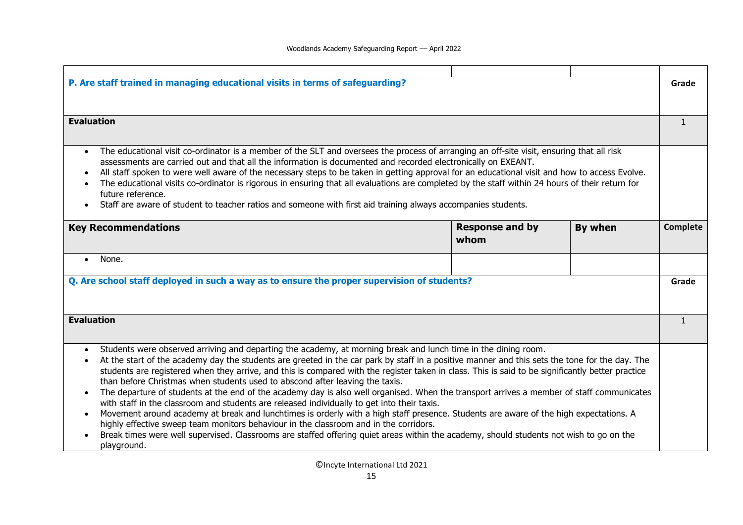| P. Are staff trained in managing educational visits in terms of safeguarding?<br>Grade<br><b>Evaluation</b><br>$\mathbf{1}$<br>The educational visit co-ordinator is a member of the SLT and oversees the process of arranging an off-site visit, ensuring that all risk<br>$\bullet$<br>assessments are carried out and that all the information is documented and recorded electronically on EXEANT.<br>All staff spoken to were well aware of the necessary steps to be taken in getting approval for an educational visit and how to access Evolve.<br>The educational visits co-ordinator is rigorous in ensuring that all evaluations are completed by the staff within 24 hours of their return for<br>future reference.<br>Staff are aware of student to teacher ratios and someone with first aid training always accompanies students.<br><b>Response and by</b><br>By when<br><b>Key Recommendations</b><br>Complete<br>whom<br>None.<br>$\bullet$<br>Q. Are school staff deployed in such a way as to ensure the proper supervision of students?<br>Grade<br><b>Evaluation</b><br>$\mathbf{1}$<br>Students were observed arriving and departing the academy, at morning break and lunch time in the dining room.<br>At the start of the academy day the students are greeted in the car park by staff in a positive manner and this sets the tone for the day. The<br>students are registered when they arrive, and this is compared with the register taken in class. This is said to be significantly better practice<br>than before Christmas when students used to abscond after leaving the taxis.<br>The departure of students at the end of the academy day is also well organised. When the transport arrives a member of staff communicates<br>with staff in the classroom and students are released individually to get into their taxis.<br>Movement around academy at break and lunchtimes is orderly with a high staff presence. Students are aware of the high expectations. A<br>$\bullet$<br>highly effective sweep team monitors behaviour in the classroom and in the corridors.<br>Break times were well supervised. Classrooms are staffed offering quiet areas within the academy, should students not wish to go on the<br>playground. |  |  |  |  |
|--------------------------------------------------------------------------------------------------------------------------------------------------------------------------------------------------------------------------------------------------------------------------------------------------------------------------------------------------------------------------------------------------------------------------------------------------------------------------------------------------------------------------------------------------------------------------------------------------------------------------------------------------------------------------------------------------------------------------------------------------------------------------------------------------------------------------------------------------------------------------------------------------------------------------------------------------------------------------------------------------------------------------------------------------------------------------------------------------------------------------------------------------------------------------------------------------------------------------------------------------------------------------------------------------------------------------------------------------------------------------------------------------------------------------------------------------------------------------------------------------------------------------------------------------------------------------------------------------------------------------------------------------------------------------------------------------------------------------------------------------------------------------------------------------------------------------------------------------------------------------------------------------------------------------------------------------------------------------------------------------------------------------------------------------------------------------------------------------------------------------------------------------------------------------------------------------------------------------------------------------------------------------|--|--|--|--|
|                                                                                                                                                                                                                                                                                                                                                                                                                                                                                                                                                                                                                                                                                                                                                                                                                                                                                                                                                                                                                                                                                                                                                                                                                                                                                                                                                                                                                                                                                                                                                                                                                                                                                                                                                                                                                                                                                                                                                                                                                                                                                                                                                                                                                                                                          |  |  |  |  |
|                                                                                                                                                                                                                                                                                                                                                                                                                                                                                                                                                                                                                                                                                                                                                                                                                                                                                                                                                                                                                                                                                                                                                                                                                                                                                                                                                                                                                                                                                                                                                                                                                                                                                                                                                                                                                                                                                                                                                                                                                                                                                                                                                                                                                                                                          |  |  |  |  |
|                                                                                                                                                                                                                                                                                                                                                                                                                                                                                                                                                                                                                                                                                                                                                                                                                                                                                                                                                                                                                                                                                                                                                                                                                                                                                                                                                                                                                                                                                                                                                                                                                                                                                                                                                                                                                                                                                                                                                                                                                                                                                                                                                                                                                                                                          |  |  |  |  |
|                                                                                                                                                                                                                                                                                                                                                                                                                                                                                                                                                                                                                                                                                                                                                                                                                                                                                                                                                                                                                                                                                                                                                                                                                                                                                                                                                                                                                                                                                                                                                                                                                                                                                                                                                                                                                                                                                                                                                                                                                                                                                                                                                                                                                                                                          |  |  |  |  |
|                                                                                                                                                                                                                                                                                                                                                                                                                                                                                                                                                                                                                                                                                                                                                                                                                                                                                                                                                                                                                                                                                                                                                                                                                                                                                                                                                                                                                                                                                                                                                                                                                                                                                                                                                                                                                                                                                                                                                                                                                                                                                                                                                                                                                                                                          |  |  |  |  |
|                                                                                                                                                                                                                                                                                                                                                                                                                                                                                                                                                                                                                                                                                                                                                                                                                                                                                                                                                                                                                                                                                                                                                                                                                                                                                                                                                                                                                                                                                                                                                                                                                                                                                                                                                                                                                                                                                                                                                                                                                                                                                                                                                                                                                                                                          |  |  |  |  |
|                                                                                                                                                                                                                                                                                                                                                                                                                                                                                                                                                                                                                                                                                                                                                                                                                                                                                                                                                                                                                                                                                                                                                                                                                                                                                                                                                                                                                                                                                                                                                                                                                                                                                                                                                                                                                                                                                                                                                                                                                                                                                                                                                                                                                                                                          |  |  |  |  |
|                                                                                                                                                                                                                                                                                                                                                                                                                                                                                                                                                                                                                                                                                                                                                                                                                                                                                                                                                                                                                                                                                                                                                                                                                                                                                                                                                                                                                                                                                                                                                                                                                                                                                                                                                                                                                                                                                                                                                                                                                                                                                                                                                                                                                                                                          |  |  |  |  |
|                                                                                                                                                                                                                                                                                                                                                                                                                                                                                                                                                                                                                                                                                                                                                                                                                                                                                                                                                                                                                                                                                                                                                                                                                                                                                                                                                                                                                                                                                                                                                                                                                                                                                                                                                                                                                                                                                                                                                                                                                                                                                                                                                                                                                                                                          |  |  |  |  |
|                                                                                                                                                                                                                                                                                                                                                                                                                                                                                                                                                                                                                                                                                                                                                                                                                                                                                                                                                                                                                                                                                                                                                                                                                                                                                                                                                                                                                                                                                                                                                                                                                                                                                                                                                                                                                                                                                                                                                                                                                                                                                                                                                                                                                                                                          |  |  |  |  |
|                                                                                                                                                                                                                                                                                                                                                                                                                                                                                                                                                                                                                                                                                                                                                                                                                                                                                                                                                                                                                                                                                                                                                                                                                                                                                                                                                                                                                                                                                                                                                                                                                                                                                                                                                                                                                                                                                                                                                                                                                                                                                                                                                                                                                                                                          |  |  |  |  |
|                                                                                                                                                                                                                                                                                                                                                                                                                                                                                                                                                                                                                                                                                                                                                                                                                                                                                                                                                                                                                                                                                                                                                                                                                                                                                                                                                                                                                                                                                                                                                                                                                                                                                                                                                                                                                                                                                                                                                                                                                                                                                                                                                                                                                                                                          |  |  |  |  |
|                                                                                                                                                                                                                                                                                                                                                                                                                                                                                                                                                                                                                                                                                                                                                                                                                                                                                                                                                                                                                                                                                                                                                                                                                                                                                                                                                                                                                                                                                                                                                                                                                                                                                                                                                                                                                                                                                                                                                                                                                                                                                                                                                                                                                                                                          |  |  |  |  |
|                                                                                                                                                                                                                                                                                                                                                                                                                                                                                                                                                                                                                                                                                                                                                                                                                                                                                                                                                                                                                                                                                                                                                                                                                                                                                                                                                                                                                                                                                                                                                                                                                                                                                                                                                                                                                                                                                                                                                                                                                                                                                                                                                                                                                                                                          |  |  |  |  |
|                                                                                                                                                                                                                                                                                                                                                                                                                                                                                                                                                                                                                                                                                                                                                                                                                                                                                                                                                                                                                                                                                                                                                                                                                                                                                                                                                                                                                                                                                                                                                                                                                                                                                                                                                                                                                                                                                                                                                                                                                                                                                                                                                                                                                                                                          |  |  |  |  |
|                                                                                                                                                                                                                                                                                                                                                                                                                                                                                                                                                                                                                                                                                                                                                                                                                                                                                                                                                                                                                                                                                                                                                                                                                                                                                                                                                                                                                                                                                                                                                                                                                                                                                                                                                                                                                                                                                                                                                                                                                                                                                                                                                                                                                                                                          |  |  |  |  |
|                                                                                                                                                                                                                                                                                                                                                                                                                                                                                                                                                                                                                                                                                                                                                                                                                                                                                                                                                                                                                                                                                                                                                                                                                                                                                                                                                                                                                                                                                                                                                                                                                                                                                                                                                                                                                                                                                                                                                                                                                                                                                                                                                                                                                                                                          |  |  |  |  |
|                                                                                                                                                                                                                                                                                                                                                                                                                                                                                                                                                                                                                                                                                                                                                                                                                                                                                                                                                                                                                                                                                                                                                                                                                                                                                                                                                                                                                                                                                                                                                                                                                                                                                                                                                                                                                                                                                                                                                                                                                                                                                                                                                                                                                                                                          |  |  |  |  |
|                                                                                                                                                                                                                                                                                                                                                                                                                                                                                                                                                                                                                                                                                                                                                                                                                                                                                                                                                                                                                                                                                                                                                                                                                                                                                                                                                                                                                                                                                                                                                                                                                                                                                                                                                                                                                                                                                                                                                                                                                                                                                                                                                                                                                                                                          |  |  |  |  |
|                                                                                                                                                                                                                                                                                                                                                                                                                                                                                                                                                                                                                                                                                                                                                                                                                                                                                                                                                                                                                                                                                                                                                                                                                                                                                                                                                                                                                                                                                                                                                                                                                                                                                                                                                                                                                                                                                                                                                                                                                                                                                                                                                                                                                                                                          |  |  |  |  |
|                                                                                                                                                                                                                                                                                                                                                                                                                                                                                                                                                                                                                                                                                                                                                                                                                                                                                                                                                                                                                                                                                                                                                                                                                                                                                                                                                                                                                                                                                                                                                                                                                                                                                                                                                                                                                                                                                                                                                                                                                                                                                                                                                                                                                                                                          |  |  |  |  |
|                                                                                                                                                                                                                                                                                                                                                                                                                                                                                                                                                                                                                                                                                                                                                                                                                                                                                                                                                                                                                                                                                                                                                                                                                                                                                                                                                                                                                                                                                                                                                                                                                                                                                                                                                                                                                                                                                                                                                                                                                                                                                                                                                                                                                                                                          |  |  |  |  |
|                                                                                                                                                                                                                                                                                                                                                                                                                                                                                                                                                                                                                                                                                                                                                                                                                                                                                                                                                                                                                                                                                                                                                                                                                                                                                                                                                                                                                                                                                                                                                                                                                                                                                                                                                                                                                                                                                                                                                                                                                                                                                                                                                                                                                                                                          |  |  |  |  |
|                                                                                                                                                                                                                                                                                                                                                                                                                                                                                                                                                                                                                                                                                                                                                                                                                                                                                                                                                                                                                                                                                                                                                                                                                                                                                                                                                                                                                                                                                                                                                                                                                                                                                                                                                                                                                                                                                                                                                                                                                                                                                                                                                                                                                                                                          |  |  |  |  |
|                                                                                                                                                                                                                                                                                                                                                                                                                                                                                                                                                                                                                                                                                                                                                                                                                                                                                                                                                                                                                                                                                                                                                                                                                                                                                                                                                                                                                                                                                                                                                                                                                                                                                                                                                                                                                                                                                                                                                                                                                                                                                                                                                                                                                                                                          |  |  |  |  |
|                                                                                                                                                                                                                                                                                                                                                                                                                                                                                                                                                                                                                                                                                                                                                                                                                                                                                                                                                                                                                                                                                                                                                                                                                                                                                                                                                                                                                                                                                                                                                                                                                                                                                                                                                                                                                                                                                                                                                                                                                                                                                                                                                                                                                                                                          |  |  |  |  |
|                                                                                                                                                                                                                                                                                                                                                                                                                                                                                                                                                                                                                                                                                                                                                                                                                                                                                                                                                                                                                                                                                                                                                                                                                                                                                                                                                                                                                                                                                                                                                                                                                                                                                                                                                                                                                                                                                                                                                                                                                                                                                                                                                                                                                                                                          |  |  |  |  |
|                                                                                                                                                                                                                                                                                                                                                                                                                                                                                                                                                                                                                                                                                                                                                                                                                                                                                                                                                                                                                                                                                                                                                                                                                                                                                                                                                                                                                                                                                                                                                                                                                                                                                                                                                                                                                                                                                                                                                                                                                                                                                                                                                                                                                                                                          |  |  |  |  |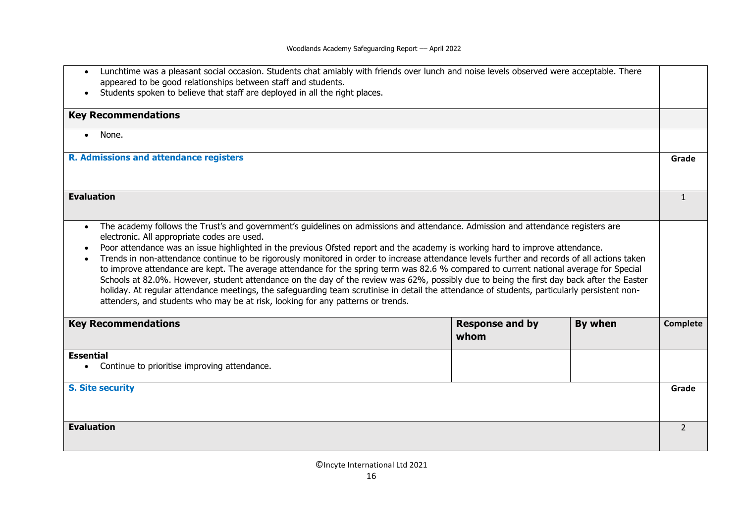| Lunchtime was a pleasant social occasion. Students chat amiably with friends over lunch and noise levels observed were acceptable. There<br>appeared to be good relationships between staff and students.<br>Students spoken to believe that staff are deployed in all the right places.                                                                                                                                                                                                                                                                                                                                                                                                                                                                                                                                                                                                                                                                                                                             |                                |         |                 |
|----------------------------------------------------------------------------------------------------------------------------------------------------------------------------------------------------------------------------------------------------------------------------------------------------------------------------------------------------------------------------------------------------------------------------------------------------------------------------------------------------------------------------------------------------------------------------------------------------------------------------------------------------------------------------------------------------------------------------------------------------------------------------------------------------------------------------------------------------------------------------------------------------------------------------------------------------------------------------------------------------------------------|--------------------------------|---------|-----------------|
| <b>Key Recommendations</b>                                                                                                                                                                                                                                                                                                                                                                                                                                                                                                                                                                                                                                                                                                                                                                                                                                                                                                                                                                                           |                                |         |                 |
| None.<br>$\bullet$                                                                                                                                                                                                                                                                                                                                                                                                                                                                                                                                                                                                                                                                                                                                                                                                                                                                                                                                                                                                   |                                |         |                 |
| <b>R. Admissions and attendance registers</b>                                                                                                                                                                                                                                                                                                                                                                                                                                                                                                                                                                                                                                                                                                                                                                                                                                                                                                                                                                        |                                |         | Grade           |
| <b>Evaluation</b>                                                                                                                                                                                                                                                                                                                                                                                                                                                                                                                                                                                                                                                                                                                                                                                                                                                                                                                                                                                                    |                                |         | $\mathbf{1}$    |
| The academy follows the Trust's and government's guidelines on admissions and attendance. Admission and attendance registers are<br>$\bullet$<br>electronic. All appropriate codes are used.<br>Poor attendance was an issue highlighted in the previous Ofsted report and the academy is working hard to improve attendance.<br>Trends in non-attendance continue to be rigorously monitored in order to increase attendance levels further and records of all actions taken<br>$\bullet$<br>to improve attendance are kept. The average attendance for the spring term was 82.6 % compared to current national average for Special<br>Schools at 82.0%. However, student attendance on the day of the review was 62%, possibly due to being the first day back after the Easter<br>holiday. At regular attendance meetings, the safeguarding team scrutinise in detail the attendance of students, particularly persistent non-<br>attenders, and students who may be at risk, looking for any patterns or trends. |                                |         |                 |
| <b>Key Recommendations</b>                                                                                                                                                                                                                                                                                                                                                                                                                                                                                                                                                                                                                                                                                                                                                                                                                                                                                                                                                                                           | <b>Response and by</b><br>whom | By when | <b>Complete</b> |
| <b>Essential</b><br>Continue to prioritise improving attendance.                                                                                                                                                                                                                                                                                                                                                                                                                                                                                                                                                                                                                                                                                                                                                                                                                                                                                                                                                     |                                |         |                 |
|                                                                                                                                                                                                                                                                                                                                                                                                                                                                                                                                                                                                                                                                                                                                                                                                                                                                                                                                                                                                                      |                                |         |                 |
| <b>S. Site security</b>                                                                                                                                                                                                                                                                                                                                                                                                                                                                                                                                                                                                                                                                                                                                                                                                                                                                                                                                                                                              |                                |         | Grade           |
| <b>Evaluation</b>                                                                                                                                                                                                                                                                                                                                                                                                                                                                                                                                                                                                                                                                                                                                                                                                                                                                                                                                                                                                    |                                |         | $\overline{2}$  |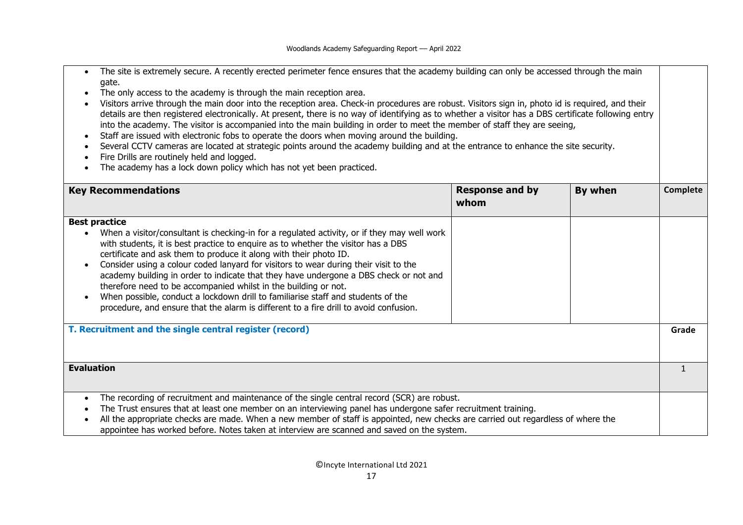- The site is extremely secure. A recently erected perimeter fence ensures that the academy building can only be accessed through the main gate.
- The only access to the academy is through the main reception area.
- Visitors arrive through the main door into the reception area. Check-in procedures are robust. Visitors sign in, photo id is required, and their details are then registered electronically. At present, there is no way of identifying as to whether a visitor has a DBS certificate following entry into the academy. The visitor is accompanied into the main building in order to meet the member of staff they are seeing,
- Staff are issued with electronic fobs to operate the doors when moving around the building.
- Several CCTV cameras are located at strategic points around the academy building and at the entrance to enhance the site security.
- Fire Drills are routinely held and logged.
- The academy has a lock down policy which has not yet been practiced.

| <b>Key Recommendations</b>                                                                                                                                                                                                                                                                                                                                                                                                                                                                                                                                                                                                                                                                                     | <b>Response and by</b><br>whom | By when | Complete |
|----------------------------------------------------------------------------------------------------------------------------------------------------------------------------------------------------------------------------------------------------------------------------------------------------------------------------------------------------------------------------------------------------------------------------------------------------------------------------------------------------------------------------------------------------------------------------------------------------------------------------------------------------------------------------------------------------------------|--------------------------------|---------|----------|
| <b>Best practice</b><br>When a visitor/consultant is checking-in for a regulated activity, or if they may well work<br>with students, it is best practice to enquire as to whether the visitor has a DBS<br>certificate and ask them to produce it along with their photo ID.<br>Consider using a colour coded lanyard for visitors to wear during their visit to the<br>academy building in order to indicate that they have undergone a DBS check or not and<br>therefore need to be accompanied whilst in the building or not.<br>When possible, conduct a lockdown drill to familiarise staff and students of the<br>procedure, and ensure that the alarm is different to a fire drill to avoid confusion. |                                |         |          |
| T. Recruitment and the single central register (record)                                                                                                                                                                                                                                                                                                                                                                                                                                                                                                                                                                                                                                                        |                                |         | Grade    |
| <b>Evaluation</b>                                                                                                                                                                                                                                                                                                                                                                                                                                                                                                                                                                                                                                                                                              |                                |         |          |
| The recording of recruitment and maintenance of the single central record (SCR) are robust.<br>The Trust ensures that at least one member on an interviewing panel has undergone safer recruitment training.<br>All the appropriate checks are made. When a new member of staff is appointed, new checks are carried out regardless of where the<br>appointee has worked before. Notes taken at interview are scanned and saved on the system.                                                                                                                                                                                                                                                                 |                                |         |          |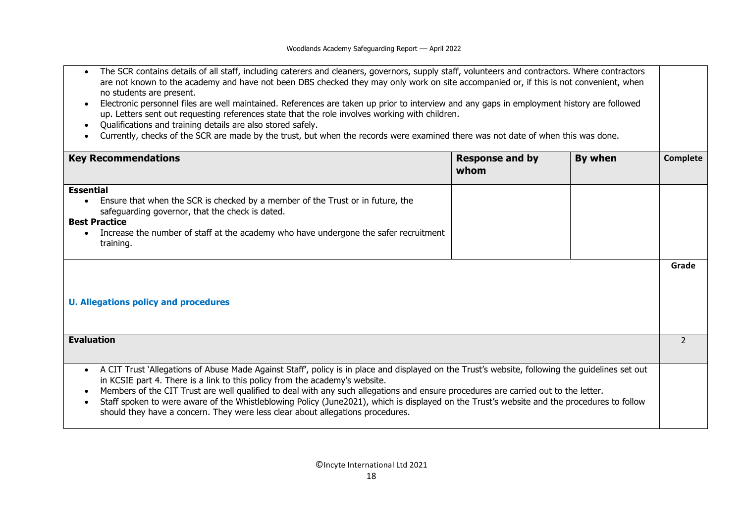- The SCR contains details of all staff, including caterers and cleaners, governors, supply staff, volunteers and contractors. Where contractors are not known to the academy and have not been DBS checked they may only work on site accompanied or, if this is not convenient, when no students are present.
- Electronic personnel files are well maintained. References are taken up prior to interview and any gaps in employment history are followed up. Letters sent out requesting references state that the role involves working with children.
- Qualifications and training details are also stored safely.
- Currently, checks of the SCR are made by the trust, but when the records were examined there was not date of when this was done.

| <b>Key Recommendations</b>                                                                                                                       | <b>Response and by</b><br>whom | By when | Complete |
|--------------------------------------------------------------------------------------------------------------------------------------------------|--------------------------------|---------|----------|
| <b>Essential</b>                                                                                                                                 |                                |         |          |
| Ensure that when the SCR is checked by a member of the Trust or in future, the<br>safeguarding governor, that the check is dated.                |                                |         |          |
| <b>Best Practice</b>                                                                                                                             |                                |         |          |
|                                                                                                                                                  |                                |         |          |
| Increase the number of staff at the academy who have undergone the safer recruitment                                                             |                                |         |          |
| training.                                                                                                                                        |                                |         |          |
|                                                                                                                                                  |                                |         | Grade    |
|                                                                                                                                                  |                                |         |          |
|                                                                                                                                                  |                                |         |          |
|                                                                                                                                                  |                                |         |          |
| <b>U. Allegations policy and procedures</b>                                                                                                      |                                |         |          |
|                                                                                                                                                  |                                |         |          |
|                                                                                                                                                  |                                |         |          |
| <b>Evaluation</b>                                                                                                                                |                                |         | 2        |
|                                                                                                                                                  |                                |         |          |
|                                                                                                                                                  |                                |         |          |
| A CIT Trust 'Allegations of Abuse Made Against Staff', policy is in place and displayed on the Trust's website, following the guidelines set out |                                |         |          |
| in KCSIE part 4. There is a link to this policy from the academy's website.                                                                      |                                |         |          |
| Members of the CIT Trust are well qualified to deal with any such allegations and ensure procedures are carried out to the letter.               |                                |         |          |
| Staff spoken to were aware of the Whistleblowing Policy (June2021), which is displayed on the Trust's website and the procedures to follow       |                                |         |          |
| should they have a concern. They were less clear about allegations procedures.                                                                   |                                |         |          |
|                                                                                                                                                  |                                |         |          |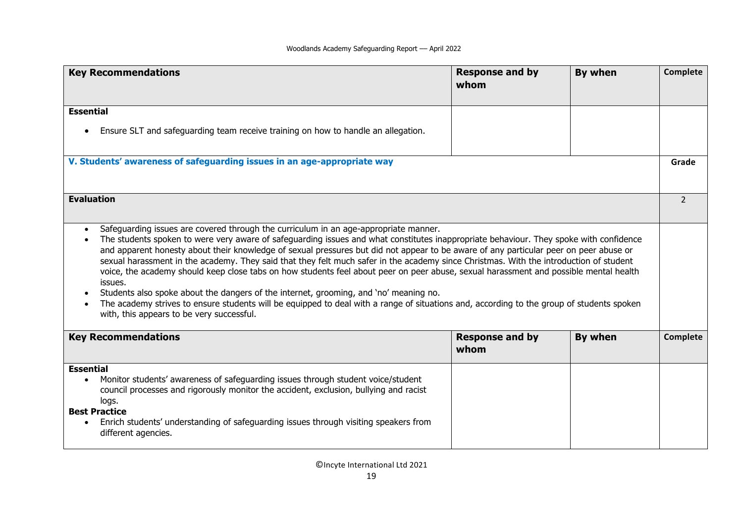| <b>Key Recommendations</b>                                                                                                                                                                                                                                                                                                                                                                                                                                                                                                                                                                                                                                                                                                                                                                                                                                                                                                                               | <b>Response and by</b><br>whom | By when | Complete       |
|----------------------------------------------------------------------------------------------------------------------------------------------------------------------------------------------------------------------------------------------------------------------------------------------------------------------------------------------------------------------------------------------------------------------------------------------------------------------------------------------------------------------------------------------------------------------------------------------------------------------------------------------------------------------------------------------------------------------------------------------------------------------------------------------------------------------------------------------------------------------------------------------------------------------------------------------------------|--------------------------------|---------|----------------|
| <b>Essential</b>                                                                                                                                                                                                                                                                                                                                                                                                                                                                                                                                                                                                                                                                                                                                                                                                                                                                                                                                         |                                |         |                |
| Ensure SLT and safeguarding team receive training on how to handle an allegation.                                                                                                                                                                                                                                                                                                                                                                                                                                                                                                                                                                                                                                                                                                                                                                                                                                                                        |                                |         |                |
| V. Students' awareness of safeguarding issues in an age-appropriate way                                                                                                                                                                                                                                                                                                                                                                                                                                                                                                                                                                                                                                                                                                                                                                                                                                                                                  |                                |         | Grade          |
| <b>Evaluation</b>                                                                                                                                                                                                                                                                                                                                                                                                                                                                                                                                                                                                                                                                                                                                                                                                                                                                                                                                        |                                |         | $\overline{2}$ |
| Safeguarding issues are covered through the curriculum in an age-appropriate manner.<br>The students spoken to were very aware of safeguarding issues and what constitutes inappropriate behaviour. They spoke with confidence<br>and apparent honesty about their knowledge of sexual pressures but did not appear to be aware of any particular peer on peer abuse or<br>sexual harassment in the academy. They said that they felt much safer in the academy since Christmas. With the introduction of student<br>voice, the academy should keep close tabs on how students feel about peer on peer abuse, sexual harassment and possible mental health<br>issues.<br>Students also spoke about the dangers of the internet, grooming, and 'no' meaning no.<br>The academy strives to ensure students will be equipped to deal with a range of situations and, according to the group of students spoken<br>with, this appears to be very successful. |                                |         |                |
| <b>Key Recommendations</b>                                                                                                                                                                                                                                                                                                                                                                                                                                                                                                                                                                                                                                                                                                                                                                                                                                                                                                                               | <b>Response and by</b><br>whom | By when | Complete       |
| <b>Essential</b>                                                                                                                                                                                                                                                                                                                                                                                                                                                                                                                                                                                                                                                                                                                                                                                                                                                                                                                                         |                                |         |                |
| Monitor students' awareness of safeguarding issues through student voice/student<br>$\bullet$<br>council processes and rigorously monitor the accident, exclusion, bullying and racist<br>logs.                                                                                                                                                                                                                                                                                                                                                                                                                                                                                                                                                                                                                                                                                                                                                          |                                |         |                |
| <b>Best Practice</b>                                                                                                                                                                                                                                                                                                                                                                                                                                                                                                                                                                                                                                                                                                                                                                                                                                                                                                                                     |                                |         |                |
| Enrich students' understanding of safeguarding issues through visiting speakers from<br>$\bullet$<br>different agencies.                                                                                                                                                                                                                                                                                                                                                                                                                                                                                                                                                                                                                                                                                                                                                                                                                                 |                                |         |                |